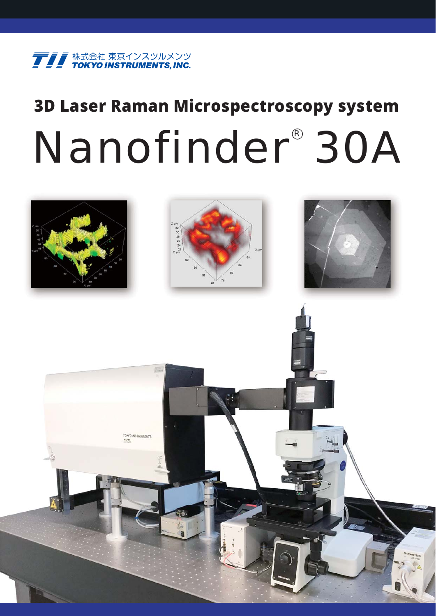

# **3D Laser Raman Microspectroscopy system** Nanofinder<sup>®</sup> 30A

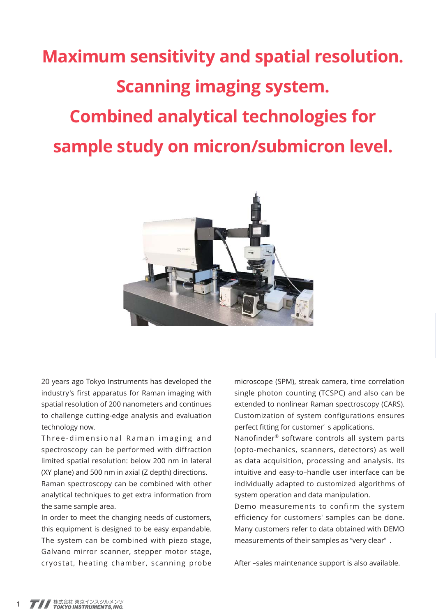# **Maximum sensitivity and spatial resolution. Scanning imaging system. Combined analytical technologies for sample study on micron/submicron level.**



20 years ago Tokyo Instruments has developed the industry's first apparatus for Raman imaging with spatial resolution of 200 nanometers and continues to challenge cutting-edge analysis and evaluation technology now.

Three-dimensional Raman imaging and spectroscopy can be performed with diffraction limited spatial resolution: below 200 nm in lateral (XY plane) and 500 nm in axial (Z depth) directions.

Raman spectroscopy can be combined with other analytical techniques to get extra information from the same sample area.

In order to meet the changing needs of customers, this equipment is designed to be easy expandable. The system can be combined with piezo stage, Galvano mirror scanner, stepper motor stage, cryostat, heating chamber, scanning probe microscope (SPM), streak camera, time correlation single photon counting (TCSPC) and also can be extended to nonlinear Raman spectroscopy (CARS). Customization of system configurations ensures perfect fitting for customer' s applications.

Nanofinder® software controls all system parts (opto-mechanics, scanners, detectors) as well as data acquisition, processing and analysis. Its intuitive and easy-to–handle user interface can be individually adapted to customized algorithms of system operation and data manipulation.

Demo measurements to confirm the system efficiency for customers' samples can be done. Many customers refer to data obtained with DEMO measurements of their samples as "very clear" .

After –sales maintenance support is also available.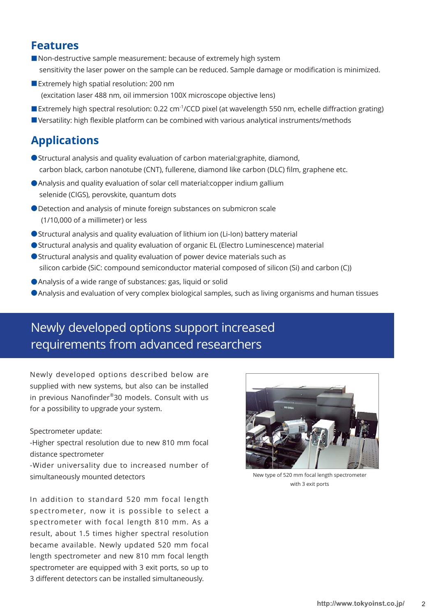### **Features**

- Non-destructive sample measurement: because of extremely high system sensitivity the laser power on the sample can be reduced. Sample damage or modification is minimized.
- Extremely high spatial resolution: 200 nm (excitation laser 488 nm, oil immersion 100X microscope objective lens)
- Extremely high spectral resolution: 0.22 cm<sup>-1</sup>/CCD pixel (at wavelength 550 nm, echelle diffraction grating) ■Versatility: high flexible platform can be combined with various analytical instruments/methods

# **Applications**

- Structural analysis and quality evaluation of carbon material: graphite, diamond, carbon black, carbon nanotube (CNT), fullerene, diamond like carbon (DLC) film, graphene etc.
- ●Analysis and quality evaluation of solar cell material:copper indium gallium selenide (CIGS), perovskite, quantum dots
- ●Detection and analysis of minute foreign substances on submicron scale (1/10,000 of a millimeter) or less
- Structural analysis and quality evaluation of lithium ion (Li-Ion) battery material
- Structural analysis and quality evaluation of organic EL (Electro Luminescence) material
- ●Structural analysis and quality evaluation of power device materials such as silicon carbide (SiC: compound semiconductor material composed of silicon (Si) and carbon (C))
- ●Analysis of a wide range of substances: gas, liquid or solid
- ●Analysis and evaluation of very complex biological samples, such as living organisms and human tissues

# Newly developed options support increased requirements from advanced researchers

Newly developed options described below are supplied with new systems, but also can be installed in previous Nanofinder®30 models. Consult with us for a possibility to upgrade your system.

#### Spectrometer update:

-Higher spectral resolution due to new 810 mm focal distance spectrometer

-Wider universality due to increased number of simultaneously mounted detectors

In addition to standard 520 mm focal length spectrometer, now it is possible to select a spectrometer with focal length 810 mm. As a result, about 1.5 times higher spectral resolution became available. Newly updated 520 mm focal length spectrometer and new 810 mm focal length spectrometer are equipped with 3 exit ports, so up to 3 different detectors can be installed simultaneously.



New type of 520 mm focal length spectrometer with 3 exit ports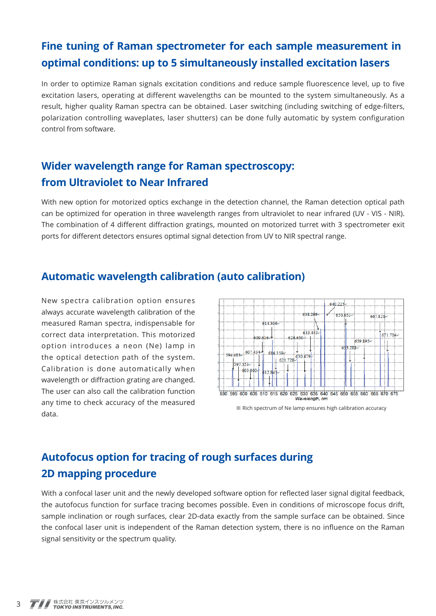# **Fine tuning of Raman spectrometer for each sample measurement in optimal conditions: up to 5 simultaneously installed excitation lasers**

In order to optimize Raman signals excitation conditions and reduce sample fluorescence level, up to five excitation lasers, operating at different wavelengths can be mounted to the system simultaneously. As a result, higher quality Raman spectra can be obtained. Laser switching (including switching of edge-filters, polarization controlling waveplates, laser shutters) can be done fully automatic by system configuration control from software.

# **Wider wavelength range for Raman spectroscopy: from Ultraviolet to Near Infrared**

With new option for motorized optics exchange in the detection channel, the Raman detection optical path can be optimized for operation in three wavelength ranges from ultraviolet to near infrared (UV - VIS - NIR). The combination of 4 different diffraction gratings, mounted on motorized turret with 3 spectrometer exit ports for different detectors ensures optimal signal detection from UV to NIR spectral range.

# **Automatic wavelength calibration (auto calibration)**

New spectra calibration option ensures always accurate wavelength calibration of the measured Raman spectra, indispensable for correct data interpretation. This motorized option introduces a neon (Ne) lamp in the optical detection path of the system. Calibration is done automatically when wavelength or diffraction grating are changed. The user can also call the calibration function any time to check accuracy of the measured



# **Autofocus option for tracing of rough surfaces during 2D mapping procedure**

With a confocal laser unit and the newly developed software option for reflected laser signal digital feedback, the autofocus function for surface tracing becomes possible. Even in conditions of microscope focus drift, sample inclination or rough surfaces, clear 2D-data exactly from the sample surface can be obtained. Since the confocal laser unit is independent of the Raman detection system, there is no influence on the Raman signal sensitivity or the spectrum quality.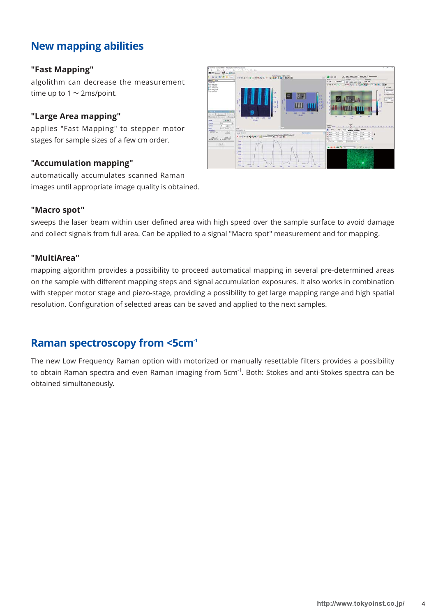# **New mapping abilities**

#### **"Fast Mapping"**

algolithm can decrease the measurement time up to  $1 \sim$  2ms/point.

#### **"Large Area mapping"**

applies "Fast Mapping" to stepper motor stages for sample sizes of a few cm order.

#### **"Accumulation mapping"**

automatically accumulates scanned Raman images until appropriate image quality is obtained.



#### **"Macro spot"**

sweeps the laser beam within user defined area with high speed over the sample surface to avoid damage and collect signals from full area. Can be applied to a signal "Macro spot" measurement and for mapping.

#### **"MultiArea"**

mapping algorithm provides a possibility to proceed automatical mapping in several pre-determined areas on the sample with different mapping steps and signal accumulation exposures. It also works in combination with stepper motor stage and piezo-stage, providing a possibility to get large mapping range and high spatial resolution. Configuration of selected areas can be saved and applied to the next samples.

# **Raman spectroscopy from <5cm-1**

The new Low Frequency Raman option with motorized or manually resettable filters provides a possibility to obtain Raman spectra and even Raman imaging from 5cm<sup>-1</sup>. Both: Stokes and anti-Stokes spectra can be obtained simultaneously.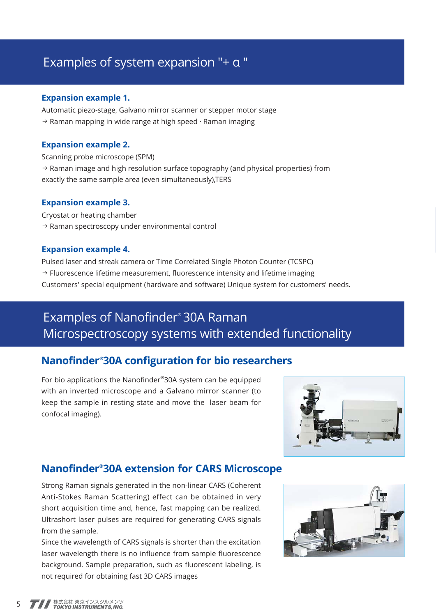# Examples of system expansion "+ α "

#### **Expansion example 1.**

Automatic piezo-stage, Galvano mirror scanner or stepper motor stage  $\rightarrow$  Raman mapping in wide range at high speed  $\cdot$  Raman imaging

#### **Expansion example 2.**

Scanning probe microscope (SPM) → Raman image and high resolution surface topography (and physical properties) from exactly the same sample area (even simultaneously),TERS

#### **Expansion example 3.**

Cryostat or heating chamber → Raman spectroscopy under environmental control

#### **Expansion example 4.**

Pulsed laser and streak camera or Time Correlated Single Photon Counter (TCSPC)  $\rightarrow$  Fluorescence lifetime measurement, fluorescence intensity and lifetime imaging Customers' special equipment (hardware and software) Unique system for customers' needs.

# Examples of Nanofinder® 30A Raman Microspectroscopy systems with extended functionality

# **Nanofinder® 30A configuration for bio researchers**

For bio applications the Nanofinder®30A system can be equipped with an inverted microscope and a Galvano mirror scanner (to keep the sample in resting state and move the laser beam for confocal imaging).



# **Nanofinder® 30A extension for CARS Microscope**

Strong Raman signals generated in the non-linear CARS (Coherent Anti-Stokes Raman Scattering) effect can be obtained in very short acquisition time and, hence, fast mapping can be realized. Ultrashort laser pulses are required for generating CARS signals from the sample.

Since the wavelength of CARS signals is shorter than the excitation laser wavelength there is no influence from sample fluorescence background. Sample preparation, such as fluorescent labeling, is not required for obtaining fast 3D CARS images

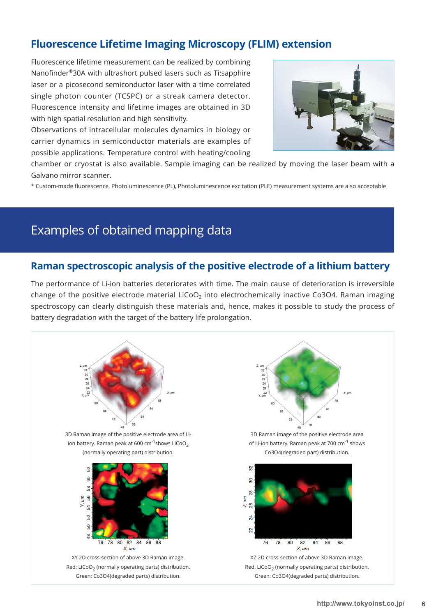# **Fluorescence Lifetime Imaging Microscopy (FLIM) extension**

Fluorescence lifetime measurement can be realized by combining Nanofinder®30A with ultrashort pulsed lasers such as Ti:sapphire laser or a picosecond semiconductor laser with a time correlated single photon counter (TCSPC) or a streak camera detector. Fluorescence intensity and lifetime images are obtained in 3D with high spatial resolution and high sensitivity.

Observations of intracellular molecules dynamics in biology or carrier dynamics in semiconductor materials are examples of possible applications. Temperature control with heating/cooling



chamber or cryostat is also available. Sample imaging can be realized by moving the laser beam with a Galvano mirror scanner.

\* Custom-made fluorescence, Photoluminescence (PL), Photoluminescence excitation (PLE) measurement systems are also acceptable

# Examples of obtained mapping data

#### **Raman spectroscopic analysis of the positive electrode of a lithium battery**

The performance of Li-ion batteries deteriorates with time. The main cause of deterioration is irreversible change of the positive electrode material LiCoO<sub>2</sub> into electrochemically inactive Co3O4. Raman imaging spectroscopy can clearly distinguish these materials and, hence, makes it possible to study the process of battery degradation with the target of the battery life prolongation.